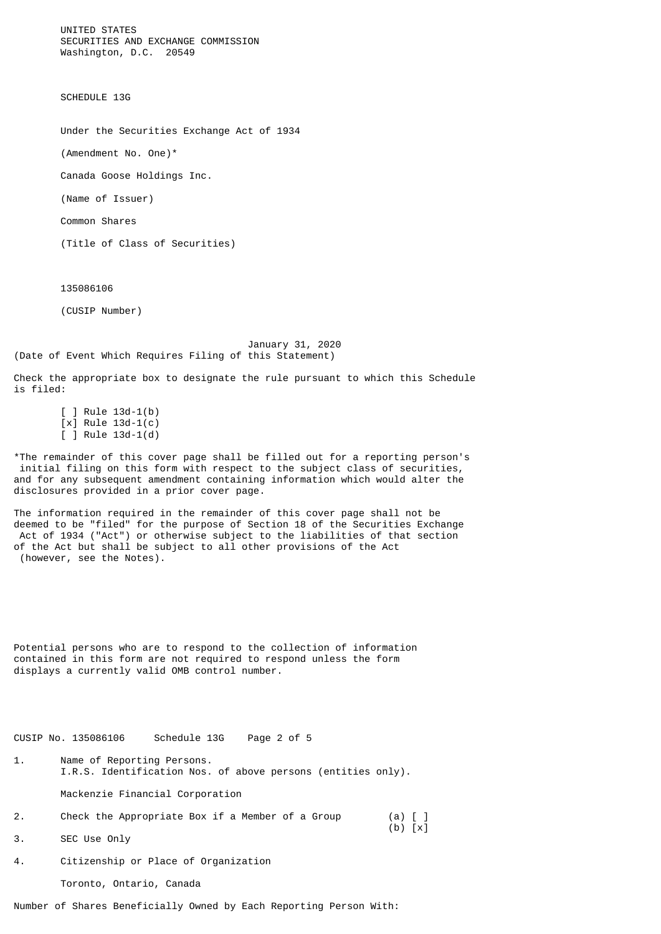UNITED STATES SECURITIES AND EXCHANGE COMMISSION Washington, D.C. 20549

SCHEDULE 13G

Under the Securities Exchange Act of 1934

(Amendment No. One)\*

Canada Goose Holdings Inc.

(Name of Issuer)

Common Shares

(Title of Class of Securities)

135086106

(CUSIP Number)

 January 31, 2020 (Date of Event Which Requires Filing of this Statement)

Check the appropriate box to designate the rule pursuant to which this Schedule is filed:

 [ ] Rule 13d-1(b) [x] Rule 13d-1(c)  $[$   $]$  Rule 13d-1(d)

\*The remainder of this cover page shall be filled out for a reporting person's initial filing on this form with respect to the subject class of securities, and for any subsequent amendment containing information which would alter the disclosures provided in a prior cover page.

The information required in the remainder of this cover page shall not be deemed to be "filed" for the purpose of Section 18 of the Securities Exchange Act of 1934 ("Act") or otherwise subject to the liabilities of that section of the Act but shall be subject to all other provisions of the Act (however, see the Notes).

Potential persons who are to respond to the collection of information contained in this form are not required to respond unless the form displays a currently valid OMB control number.

CUSIP No. 135086106 Schedule 13G Page 2 of 5

- 1. Name of Reporting Persons. I.R.S. Identification Nos. of above persons (entities only). Mackenzie Financial Corporation
- 2. Check the Appropriate Box if a Member of a Group (a) [ ]<br>(b) [x]  $(b)$  [x]
- 3. SEC Use Only
- 4. Citizenship or Place of Organization

Toronto, Ontario, Canada

Number of Shares Beneficially Owned by Each Reporting Person With: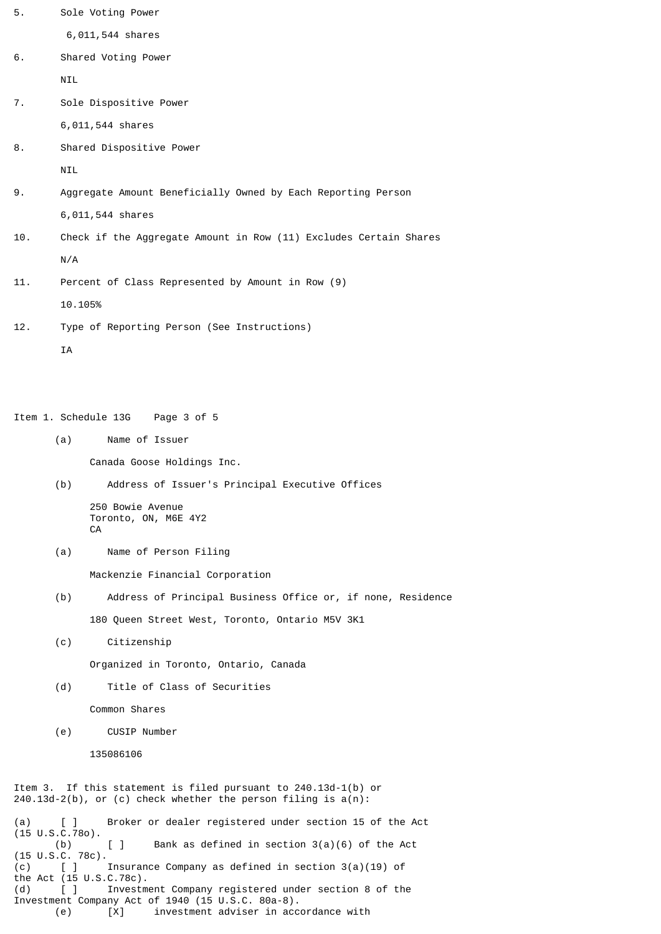| 5.  | Sole Voting Power                                                 |
|-----|-------------------------------------------------------------------|
|     | 6,011,544 shares                                                  |
| 6.  | Shared Voting Power                                               |
|     | <b>NIL</b>                                                        |
| 7.  | Sole Dispositive Power                                            |
|     | 6,011,544 shares                                                  |
| 8.  | Shared Dispositive Power                                          |
|     | NIL                                                               |
| 9.  | Aggregate Amount Beneficially Owned by Each Reporting Person      |
|     | 6,011,544 shares                                                  |
| 10. | Check if the Aggregate Amount in Row (11) Excludes Certain Shares |
|     | N/A                                                               |
| 11. | Percent of Class Represented by Amount in Row (9)                 |
|     | 10.105%                                                           |
| 12. | Type of Reporting Person (See Instructions)                       |

IA

Item 1. Schedule 13G Page 3 of 5

(a) Name of Issuer

Canada Goose Holdings Inc.

(b) Address of Issuer's Principal Executive Offices

 250 Bowie Avenue Toronto, ON, M6E 4Y2 **CA** 

(a) Name of Person Filing

Mackenzie Financial Corporation

(b) Address of Principal Business Office or, if none, Residence

180 Queen Street West, Toronto, Ontario M5V 3K1

(c) Citizenship

Organized in Toronto, Ontario, Canada

(d) Title of Class of Securities

Common Shares

(e) CUSIP Number

135086106

Item 3. If this statement is filed pursuant to 240.13d-1(b) or  $240.13d-2(b)$ , or (c) check whether the person filing is  $a(n)$ :

Broker or dealer registered under section 15 of the Act (a)  $[ ]$ <br>(15 U.S.C.780). (b)  $[ ]$  Bank as defined in section 3(a)(6) of the Act  $(15 \tcup.S.C. 78c).$ <br> $(c)$  [ ]  $(c)$  [ ] Insurance Company as defined in section 3(a)(19) of the Act (15 U.S.C.78c). (d) [ ] Investment Company registered under section 8 of the Investment Company Act of 1940 (15 U.S.C. 80a-8). (e) [X] investment adviser in accordance with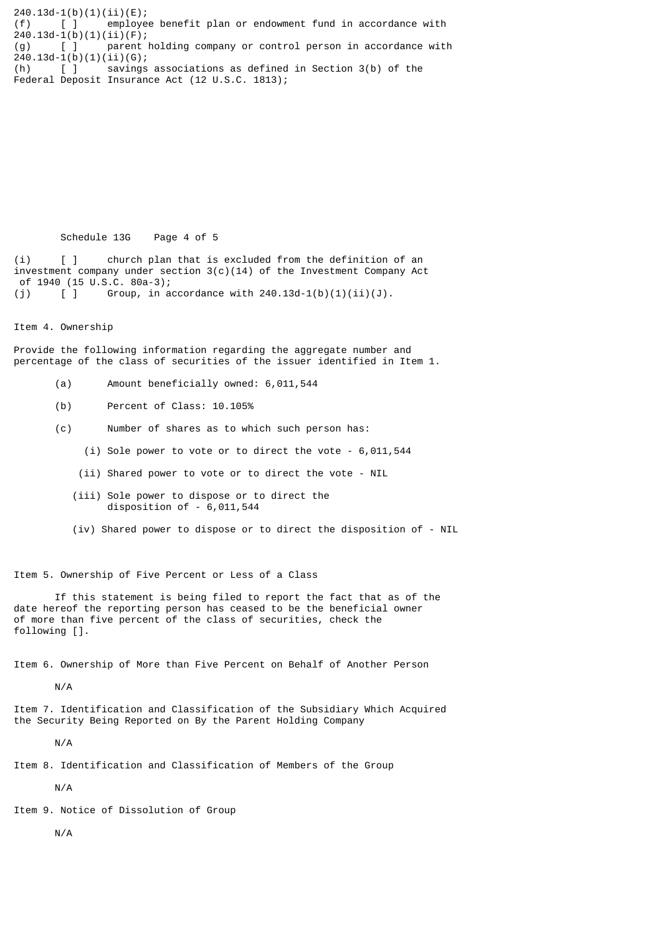240.13d-1(b)(1)(ii)(E); (f) [ ] employee benefit plan or endowment fund in accordance with  $240.13d-1(b)(1)(ii)(F);$ (g) [ ] parent holding company or control person in accordance with  $240.13d-1(\bar{b})(1)(ii)(G);$ (h)  $\begin{bmatrix} 1 \end{bmatrix}$  savings associations as defined in Section 3(b) of the

Federal Deposit Insurance Act (12 U.S.C. 1813);

Schedule 13G Page 4 of 5

(i) [ ] church plan that is excluded from the definition of an investment company under section 3(c)(14) of the Investment Company Act of 1940 (15 U.S.C. 80a-3);

(j)  $[ ]$  Group, in accordance with 240.13d-1(b)(1)(ii)(J).

Item 4. Ownership

Provide the following information regarding the aggregate number and percentage of the class of securities of the issuer identified in Item 1.

- (a) Amount beneficially owned: 6,011,544
- (b) Percent of Class: 10.105%
- (c) Number of shares as to which such person has:
	- (i) Sole power to vote or to direct the vote 6,011,544
	- (ii) Shared power to vote or to direct the vote NIL
	- (iii) Sole power to dispose or to direct the disposition of - 6,011,544
	- (iv) Shared power to dispose or to direct the disposition of NIL

Item 5. Ownership of Five Percent or Less of a Class

 If this statement is being filed to report the fact that as of the date hereof the reporting person has ceased to be the beneficial owner of more than five percent of the class of securities, check the following [].

Item 6. Ownership of More than Five Percent on Behalf of Another Person

N/A

Item 7. Identification and Classification of the Subsidiary Which Acquired the Security Being Reported on By the Parent Holding Company

N/A

Item 8. Identification and Classification of Members of the Group

N/A

Item 9. Notice of Dissolution of Group

N/A